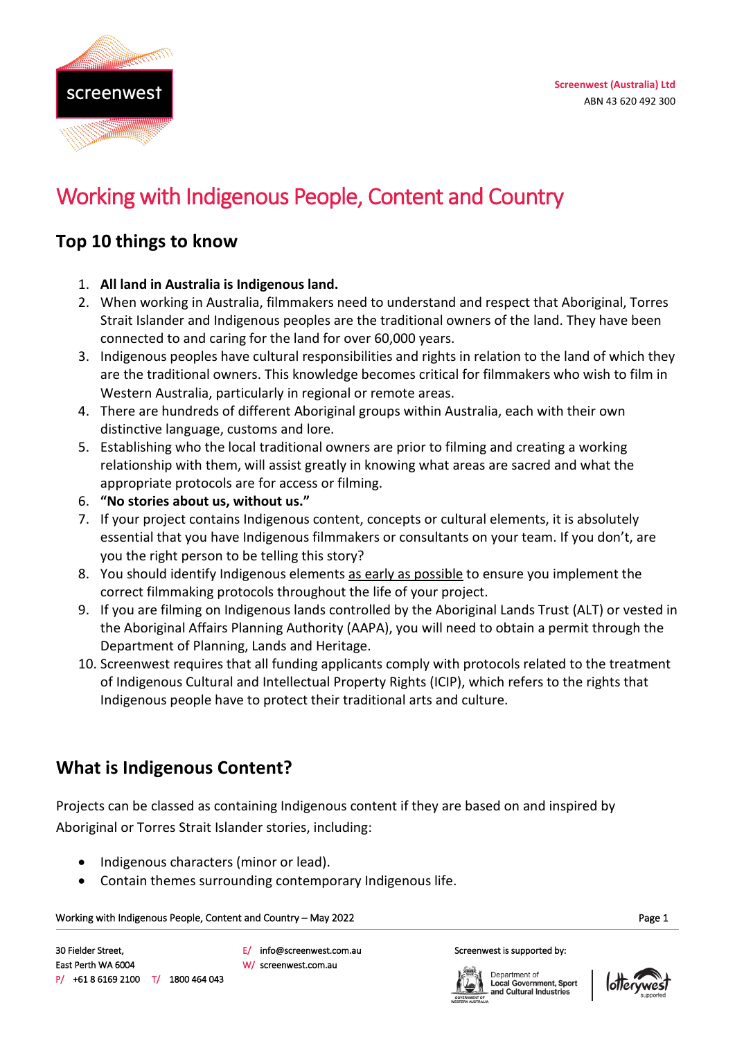

# Working with Indigenous People, Content and Country

### **Top 10 things to know**

- 1. **All land in Australia is Indigenous land.**
- 2. When working in Australia, filmmakers need to understand and respect that Aboriginal, Torres Strait Islander and Indigenous peoples are the traditional owners of the land. They have been connected to and caring for the land for over 60,000 years.
- 3. Indigenous peoples have cultural responsibilities and rights in relation to the land of which they are the traditional owners. This knowledge becomes critical for filmmakers who wish to film in Western Australia, particularly in regional or remote areas.
- 4. There are hundreds of different Aboriginal groups within Australia, each with their own distinctive language, customs and lore.
- 5. Establishing who the local traditional owners are prior to filming and creating a working relationship with them, will assist greatly in knowing what areas are sacred and what the appropriate protocols are for access or filming.
- 6. **"No stories about us, without us."**
- 7. If your project contains Indigenous content, concepts or cultural elements, it is absolutely essential that you have Indigenous filmmakers or consultants on your team. If you don't, are you the right person to be telling this story?
- 8. You should identify Indigenous elements as early as possible to ensure you implement the correct filmmaking protocols throughout the life of your project.
- 9. If you are filming on Indigenous lands controlled by the Aboriginal Lands Trust (ALT) or vested in the Aboriginal Affairs Planning Authority (AAPA), you will need to obtain a permit through the Department of Planning, Lands and Heritage.
- 10. Screenwest requires that all funding applicants comply with protocols related to the treatment of Indigenous Cultural and Intellectual Property Rights (ICIP), which refers to the rights that Indigenous people have to protect their traditional arts and culture.

## **What is Indigenous Content?**

Projects can be classed as containing Indigenous content if they are based on and inspired by Aboriginal or Torres Strait Islander stories, including:

- Indigenous characters (minor or lead).
- Contain themes surrounding contemporary Indigenous life.

W/ screenwest.com.au

#### Page 1 Working with Indigenous People, Content and Country – May 2022

E/ info@screenwest.com.au

Department of Local Government, Sport<br>and Cultural Industries

Screenwest is supported by:

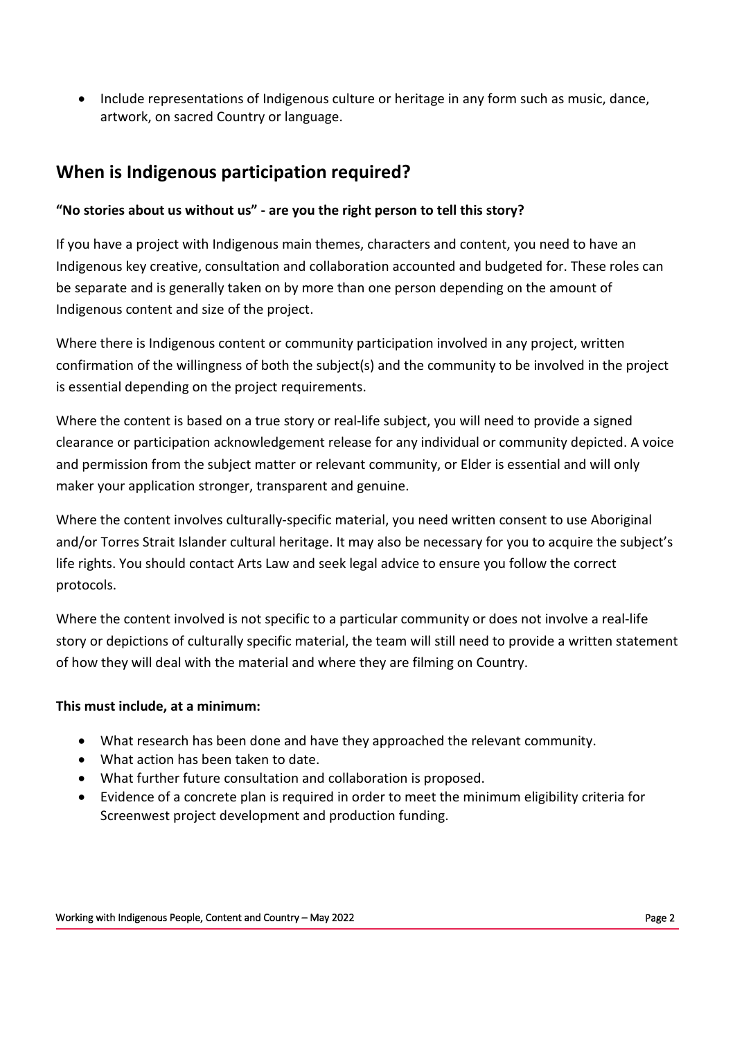• Include representations of Indigenous culture or heritage in any form such as music, dance, artwork, on sacred Country or language.

### **When is Indigenous participation required?**

### **"No stories about us without us" - are you the right person to tell this story?**

If you have a project with Indigenous main themes, characters and content, you need to have an Indigenous key creative, consultation and collaboration accounted and budgeted for. These roles can be separate and is generally taken on by more than one person depending on the amount of Indigenous content and size of the project.

Where there is Indigenous content or community participation involved in any project, written confirmation of the willingness of both the subject(s) and the community to be involved in the project is essential depending on the project requirements.

Where the content is based on a true story or real-life subject, you will need to provide a signed clearance or participation acknowledgement release for any individual or community depicted. A voice and permission from the subject matter or relevant community, or Elder is essential and will only maker your application stronger, transparent and genuine.

Where the content involves culturally-specific material, you need written consent to use Aboriginal and/or Torres Strait Islander cultural heritage. It may also be necessary for you to acquire the subject's life rights. You should contact Arts Law and seek legal advice to ensure you follow the correct protocols.

Where the content involved is not specific to a particular community or does not involve a real-life story or depictions of culturally specific material, the team will still need to provide a written statement of how they will deal with the material and where they are filming on Country.

#### **This must include, at a minimum:**

- What research has been done and have they approached the relevant community.
- What action has been taken to date.
- What further future consultation and collaboration is proposed.
- Evidence of a concrete plan is required in order to meet the minimum eligibility criteria for Screenwest project development and production funding.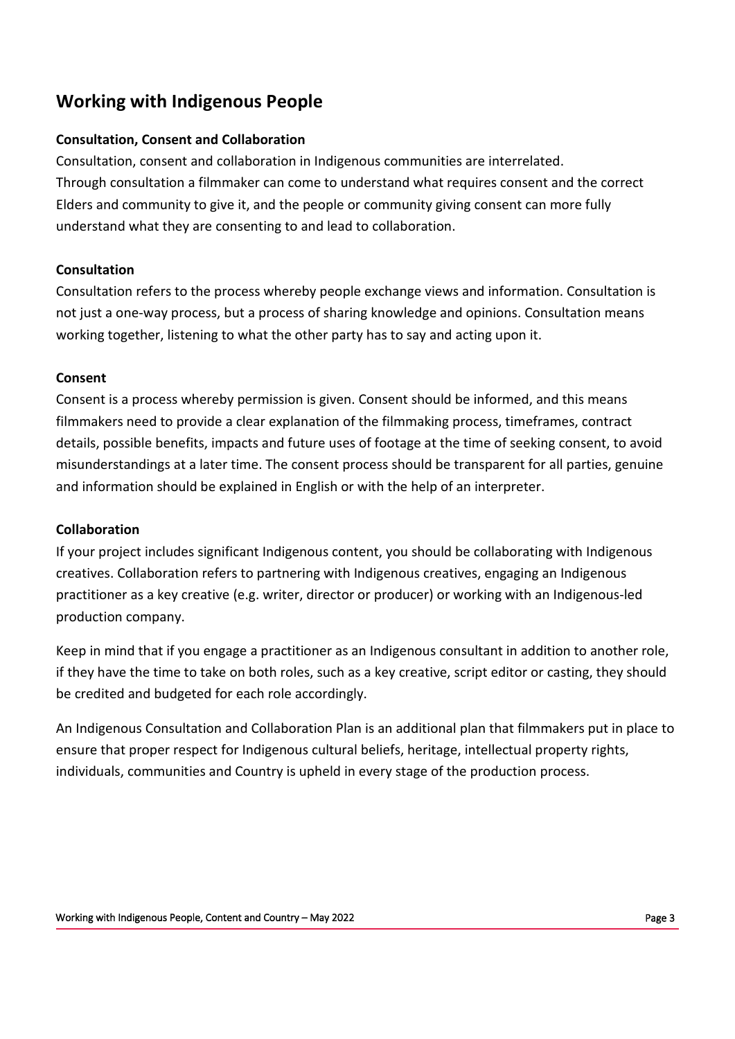### **Working with Indigenous People**

#### **Consultation, Consent and Collaboration**

Consultation, consent and collaboration in Indigenous communities are interrelated. Through consultation a filmmaker can come to understand what requires consent and the correct Elders and community to give it, and the people or community giving consent can more fully understand what they are consenting to and lead to collaboration.

#### **Consultation**

Consultation refers to the process whereby people exchange views and information. Consultation is not just a one-way process, but a process of sharing knowledge and opinions. Consultation means working together, listening to what the other party has to say and acting upon it.

#### **Consent**

Consent is a process whereby permission is given. Consent should be informed, and this means filmmakers need to provide a clear explanation of the filmmaking process, timeframes, contract details, possible benefits, impacts and future uses of footage at the time of seeking consent, to avoid misunderstandings at a later time. The consent process should be transparent for all parties, genuine and information should be explained in English or with the help of an interpreter.

#### **Collaboration**

If your project includes significant Indigenous content, you should be collaborating with Indigenous creatives. Collaboration refers to partnering with Indigenous creatives, engaging an Indigenous practitioner as a key creative (e.g. writer, director or producer) or working with an Indigenous-led production company.

Keep in mind that if you engage a practitioner as an Indigenous consultant in addition to another role, if they have the time to take on both roles, such as a key creative, script editor or casting, they should be credited and budgeted for each role accordingly.

An Indigenous Consultation and Collaboration Plan is an additional plan that filmmakers put in place to ensure that proper respect for Indigenous cultural beliefs, heritage, intellectual property rights, individuals, communities and Country is upheld in every stage of the production process.